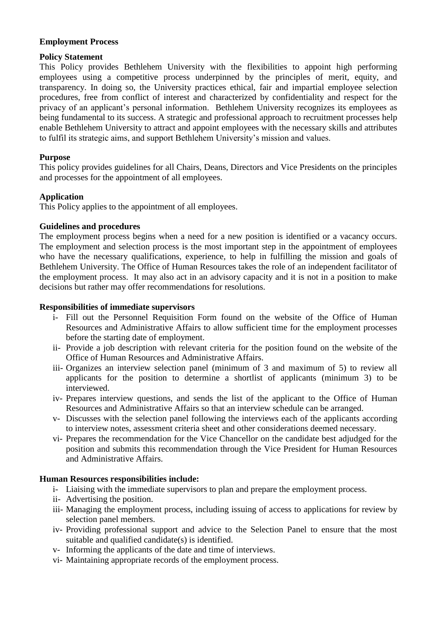## **Employment Process**

## **Policy Statement**

This Policy provides Bethlehem University with the flexibilities to appoint high performing employees using a competitive process underpinned by the principles of merit, equity, and transparency. In doing so, the University practices ethical, fair and impartial employee selection procedures, free from conflict of interest and characterized by confidentiality and respect for the privacy of an applicant's personal information. Bethlehem University recognizes its employees as being fundamental to its success. A strategic and professional approach to recruitment processes help enable Bethlehem University to attract and appoint employees with the necessary skills and attributes to fulfil its strategic aims, and support Bethlehem University's mission and values.

# **Purpose**

This policy provides guidelines for all Chairs, Deans, Directors and Vice Presidents on the principles and processes for the appointment of all employees.

# **Application**

This Policy applies to the appointment of all employees.

### **Guidelines and procedures**

The employment process begins when a need for a new position is identified or a vacancy occurs. The employment and selection process is the most important step in the appointment of employees who have the necessary qualifications, experience, to help in fulfilling the mission and goals of Bethlehem University. The Office of Human Resources takes the role of an independent facilitator of the employment process. It may also act in an advisory capacity and it is not in a position to make decisions but rather may offer recommendations for resolutions.

### **Responsibilities of immediate supervisors**

- i- Fill out the Personnel Requisition Form found on the website of the Office of Human Resources and Administrative Affairs to allow sufficient time for the employment processes before the starting date of employment.
- ii- Provide a job description with relevant criteria for the position found on the website of the Office of Human Resources and Administrative Affairs.
- iii- Organizes an interview selection panel (minimum of 3 and maximum of 5) to review all applicants for the position to determine a shortlist of applicants (minimum 3) to be interviewed.
- iv- Prepares interview questions, and sends the list of the applicant to the Office of Human Resources and Administrative Affairs so that an interview schedule can be arranged.
- v- Discusses with the selection panel following the interviews each of the applicants according to interview notes, assessment criteria sheet and other considerations deemed necessary.
- vi- Prepares the recommendation for the Vice Chancellor on the candidate best adjudged for the position and submits this recommendation through the Vice President for Human Resources and Administrative Affairs.

#### **Human Resources responsibilities include:**

- i- Liaising with the immediate supervisors to plan and prepare the employment process.
- ii- Advertising the position.
- iii- Managing the employment process, including issuing of access to applications for review by selection panel members.
- iv- Providing professional support and advice to the Selection Panel to ensure that the most suitable and qualified candidate(s) is identified.
- v- Informing the applicants of the date and time of interviews.
- vi- Maintaining appropriate records of the employment process.